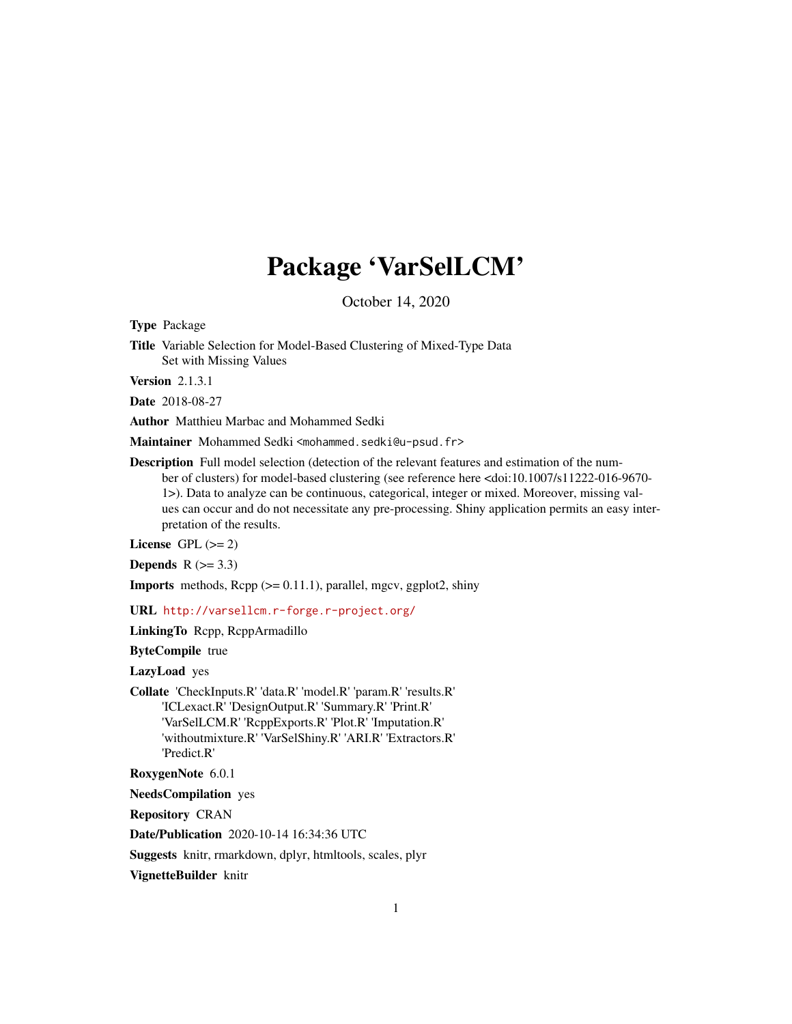# Package 'VarSelLCM'

October 14, 2020

Type Package

Title Variable Selection for Model-Based Clustering of Mixed-Type Data Set with Missing Values

Version 2.1.3.1

Date 2018-08-27

Author Matthieu Marbac and Mohammed Sedki

Maintainer Mohammed Sedki <mohammed.sedki@u-psud.fr>

Description Full model selection (detection of the relevant features and estimation of the number of clusters) for model-based clustering (see reference here <doi:10.1007/s11222-016-9670- 1>). Data to analyze can be continuous, categorical, integer or mixed. Moreover, missing values can occur and do not necessitate any pre-processing. Shiny application permits an easy interpretation of the results.

License GPL  $(>= 2)$ 

Depends  $R$  ( $> = 3.3$ )

**Imports** methods,  $\text{Rcpp}$  ( $>= 0.11.1$ ), parallel, mgcv, ggplot2, shiny

URL <http://varsellcm.r-forge.r-project.org/>

LinkingTo Rcpp, RcppArmadillo

ByteCompile true

LazyLoad yes

Collate 'CheckInputs.R' 'data.R' 'model.R' 'param.R' 'results.R' 'ICLexact.R' 'DesignOutput.R' 'Summary.R' 'Print.R' 'VarSelLCM.R' 'RcppExports.R' 'Plot.R' 'Imputation.R' 'withoutmixture.R' 'VarSelShiny.R' 'ARI.R' 'Extractors.R' 'Predict.R'

RoxygenNote 6.0.1

NeedsCompilation yes

Repository CRAN

Date/Publication 2020-10-14 16:34:36 UTC

Suggests knitr, rmarkdown, dplyr, htmltools, scales, plyr

VignetteBuilder knitr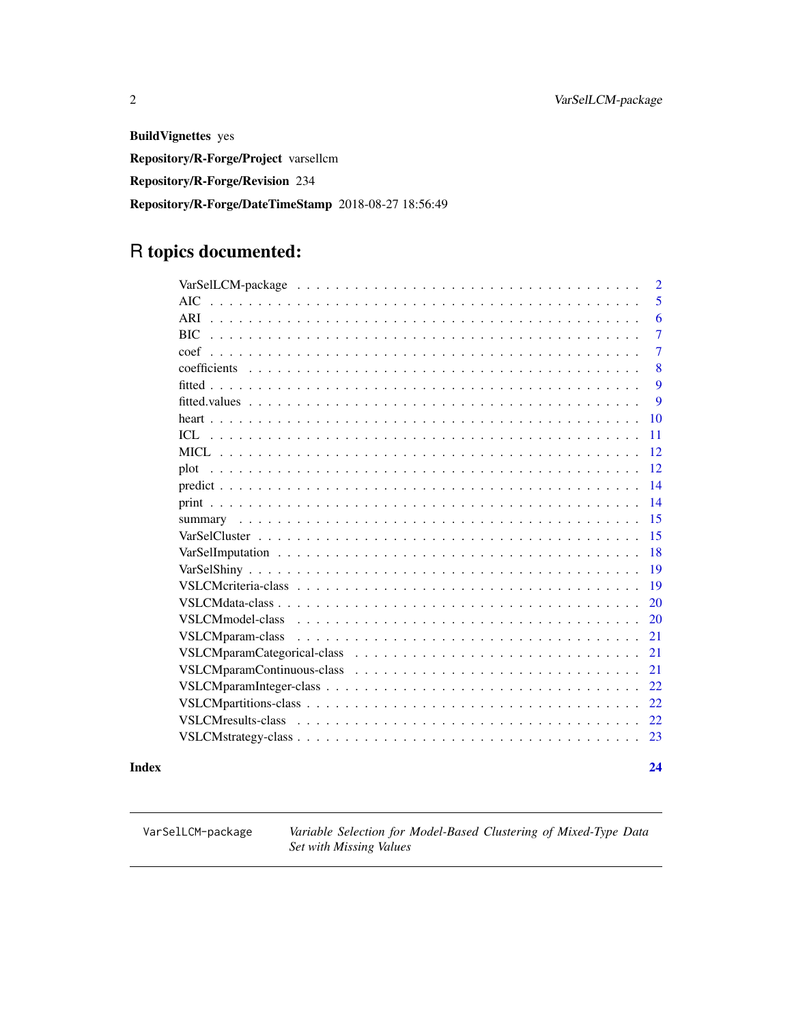<span id="page-1-0"></span>BuildVignettes yes Repository/R-Forge/Project varsellcm Repository/R-Forge/Revision 234 Repository/R-Forge/DateTimeStamp 2018-08-27 18:56:49

## R topics documented:

|       |                                                                                                                                                                                                                                                          | $\overline{2}$ |
|-------|----------------------------------------------------------------------------------------------------------------------------------------------------------------------------------------------------------------------------------------------------------|----------------|
|       | AIC                                                                                                                                                                                                                                                      | 5              |
|       | ARI                                                                                                                                                                                                                                                      | 6              |
|       |                                                                                                                                                                                                                                                          | $\overline{7}$ |
|       |                                                                                                                                                                                                                                                          | $\overline{7}$ |
|       | coefficients                                                                                                                                                                                                                                             | 8              |
|       |                                                                                                                                                                                                                                                          | 9              |
|       |                                                                                                                                                                                                                                                          | 9              |
|       |                                                                                                                                                                                                                                                          | 10             |
|       |                                                                                                                                                                                                                                                          | 11             |
|       |                                                                                                                                                                                                                                                          | 12             |
|       |                                                                                                                                                                                                                                                          | 12             |
|       |                                                                                                                                                                                                                                                          | 14             |
|       |                                                                                                                                                                                                                                                          | 14             |
|       |                                                                                                                                                                                                                                                          | 15             |
|       |                                                                                                                                                                                                                                                          | 15             |
|       |                                                                                                                                                                                                                                                          | 18             |
|       |                                                                                                                                                                                                                                                          | 19             |
|       |                                                                                                                                                                                                                                                          | 19             |
|       |                                                                                                                                                                                                                                                          | 20             |
|       | VSLCMmodel-class<br><u>. In the second contract of the second contract of the second contract of the second contract of the second contract of the second contract of the second contract of the second contract of the second contract of the secon</u> | 20             |
|       | VSLCMparam-class                                                                                                                                                                                                                                         | 21             |
|       |                                                                                                                                                                                                                                                          | 21             |
|       |                                                                                                                                                                                                                                                          | 21             |
|       |                                                                                                                                                                                                                                                          | 22             |
|       |                                                                                                                                                                                                                                                          | 22             |
|       |                                                                                                                                                                                                                                                          | 22             |
|       |                                                                                                                                                                                                                                                          | 23             |
| Index |                                                                                                                                                                                                                                                          | 24             |

VarSelLCM-package *Variable Selection for Model-Based Clustering of Mixed-Type Data Set with Missing Values*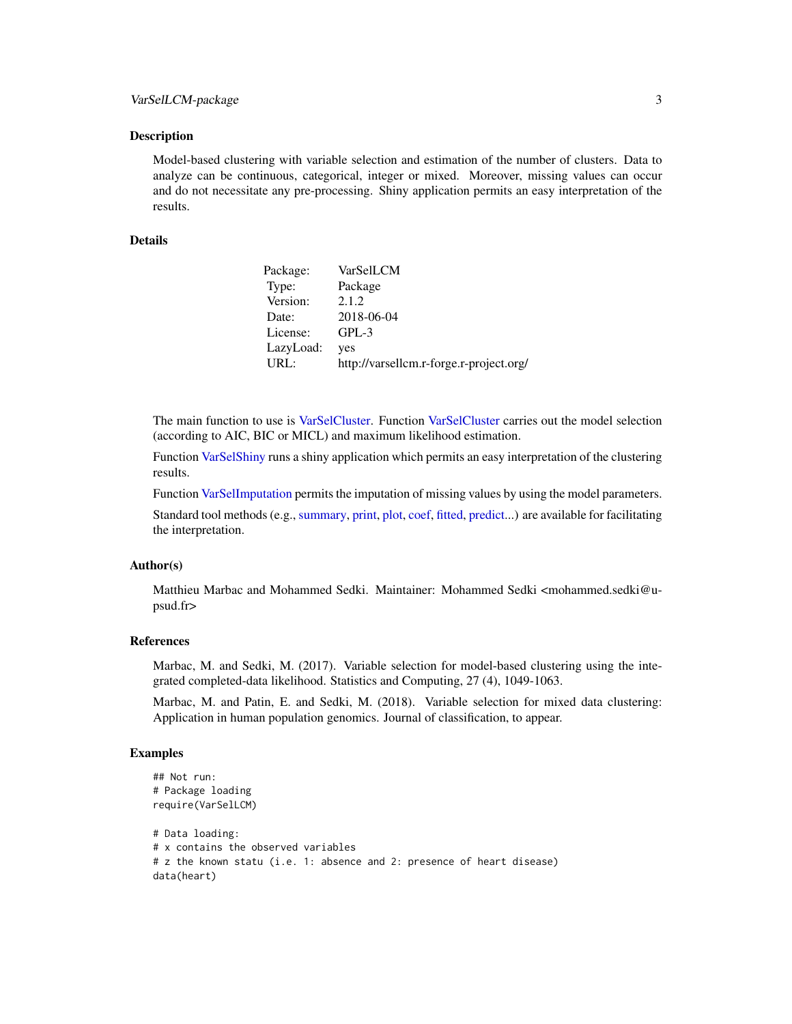<span id="page-2-0"></span>Model-based clustering with variable selection and estimation of the number of clusters. Data to analyze can be continuous, categorical, integer or mixed. Moreover, missing values can occur and do not necessitate any pre-processing. Shiny application permits an easy interpretation of the results.

#### Details

| Package:  | VarSelLCM                               |
|-----------|-----------------------------------------|
| Type:     | Package                                 |
| Version:  | 2.1.2                                   |
| Date:     | 2018-06-04                              |
| License:  | $GPL-3$                                 |
| LazyLoad: | yes                                     |
| URL:      | http://varsellcm.r-forge.r-project.org/ |

The main function to use is [VarSelCluster.](#page-14-1) Function [VarSelCluster](#page-14-1) carries out the model selection (according to AIC, BIC or MICL) and maximum likelihood estimation.

Function [VarSelShiny](#page-18-1) runs a shiny application which permits an easy interpretation of the clustering results.

Function [VarSelImputation](#page-17-1) permits the imputation of missing values by using the model parameters.

Standard tool methods (e.g., [summary,](#page-14-2) [print,](#page-13-1) [plot,](#page-11-1) [coef,](#page-6-1) [fitted,](#page-8-1) [predict.](#page-13-2)..) are available for facilitating the interpretation.

#### Author(s)

Matthieu Marbac and Mohammed Sedki. Maintainer: Mohammed Sedki <mohammed.sedki@upsud.fr>

#### References

Marbac, M. and Sedki, M. (2017). Variable selection for model-based clustering using the integrated completed-data likelihood. Statistics and Computing, 27 (4), 1049-1063.

Marbac, M. and Patin, E. and Sedki, M. (2018). Variable selection for mixed data clustering: Application in human population genomics. Journal of classification, to appear.

```
## Not run:
# Package loading
require(VarSelLCM)
# Data loading:
# x contains the observed variables
# z the known statu (i.e. 1: absence and 2: presence of heart disease)
data(heart)
```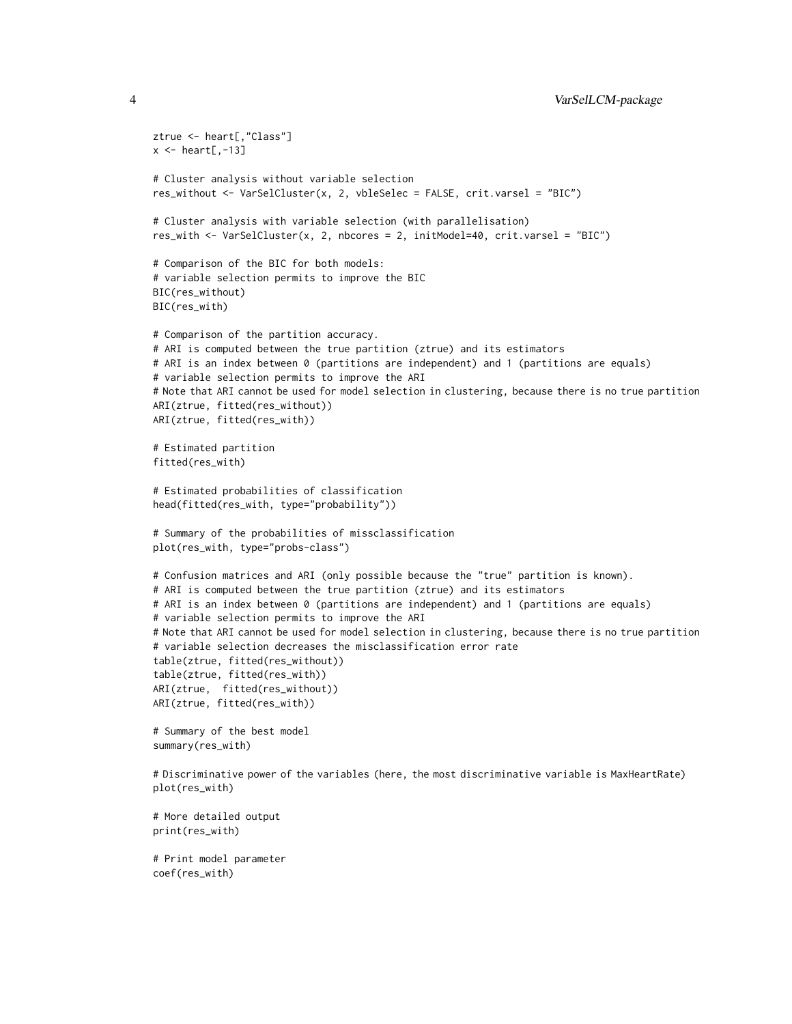```
ztrue <- heart[,"Class"]
x \leftarrow \text{heart}[,-13]
# Cluster analysis without variable selection
res_without <- VarSelCluster(x, 2, vbleSelec = FALSE, crit.varsel = "BIC")
# Cluster analysis with variable selection (with parallelisation)
res_with <- VarSelCluster(x, 2, nbcores = 2, initModel=40, crit.varsel = "BIC")
# Comparison of the BIC for both models:
# variable selection permits to improve the BIC
BIC(res_without)
BIC(res_with)
# Comparison of the partition accuracy.
# ARI is computed between the true partition (ztrue) and its estimators
# ARI is an index between 0 (partitions are independent) and 1 (partitions are equals)
# variable selection permits to improve the ARI
# Note that ARI cannot be used for model selection in clustering, because there is no true partition
ARI(ztrue, fitted(res_without))
ARI(ztrue, fitted(res_with))
# Estimated partition
fitted(res_with)
# Estimated probabilities of classification
head(fitted(res_with, type="probability"))
# Summary of the probabilities of missclassification
plot(res_with, type="probs-class")
# Confusion matrices and ARI (only possible because the "true" partition is known).
# ARI is computed between the true partition (ztrue) and its estimators
# ARI is an index between 0 (partitions are independent) and 1 (partitions are equals)
# variable selection permits to improve the ARI
# Note that ARI cannot be used for model selection in clustering, because there is no true partition
# variable selection decreases the misclassification error rate
table(ztrue, fitted(res_without))
table(ztrue, fitted(res_with))
ARI(ztrue, fitted(res_without))
ARI(ztrue, fitted(res_with))
# Summary of the best model
summary(res_with)
# Discriminative power of the variables (here, the most discriminative variable is MaxHeartRate)
plot(res_with)
# More detailed output
print(res_with)
# Print model parameter
```
coef(res\_with)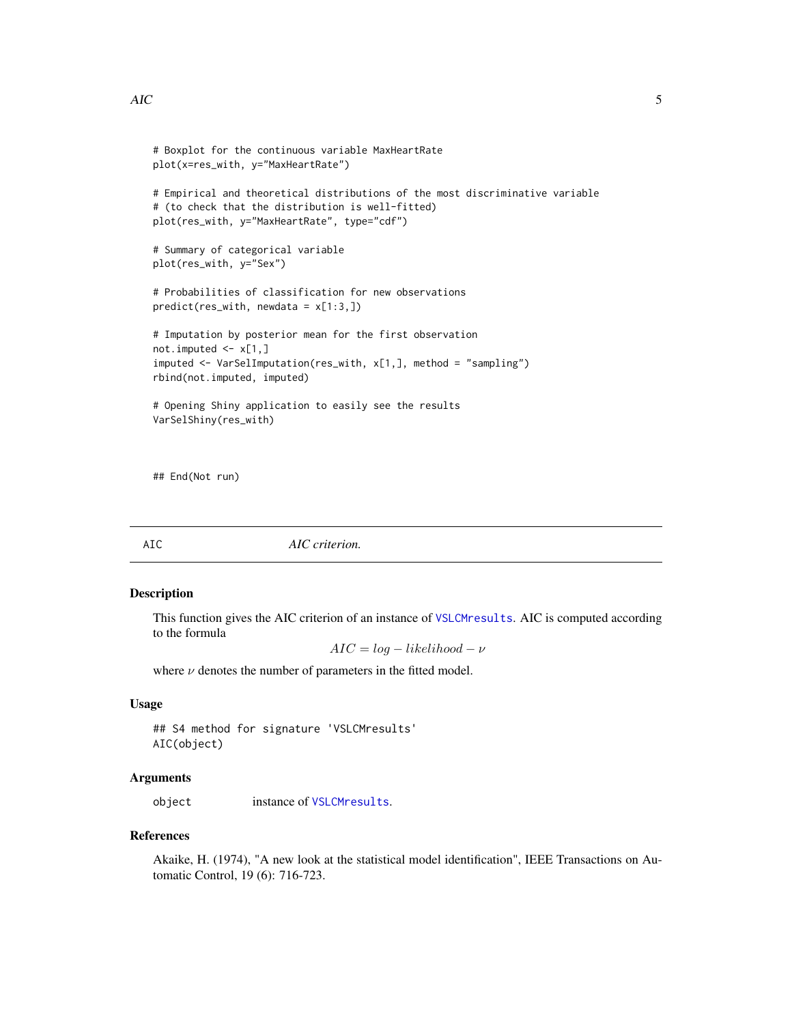```
# Boxplot for the continuous variable MaxHeartRate
plot(x=res_with, y="MaxHeartRate")
# Empirical and theoretical distributions of the most discriminative variable
# (to check that the distribution is well-fitted)
plot(res_with, y="MaxHeartRate", type="cdf")
# Summary of categorical variable
plot(res_with, y="Sex")
# Probabilities of classification for new observations
predict(res_with, new data = x[1:3,])# Imputation by posterior mean for the first observation
not.imputed <- x[1,]
imputed <- VarSelImputation(res_with, x[1,], method = "sampling")
rbind(not.imputed, imputed)
# Opening Shiny application to easily see the results
VarSelShiny(res_with)
```
## End(Not run)

AIC *AIC criterion.*

#### Description

This function gives the AIC criterion of an instance of [VSLCMresults](#page-21-1). AIC is computed according to the formula

 $AIC = log - likelihood - \nu$ 

where  $\nu$  denotes the number of parameters in the fitted model.

#### Usage

```
## S4 method for signature 'VSLCMresults'
AIC(object)
```
#### **Arguments**

object instance of [VSLCMresults](#page-21-1).

#### References

Akaike, H. (1974), "A new look at the statistical model identification", IEEE Transactions on Automatic Control, 19 (6): 716-723.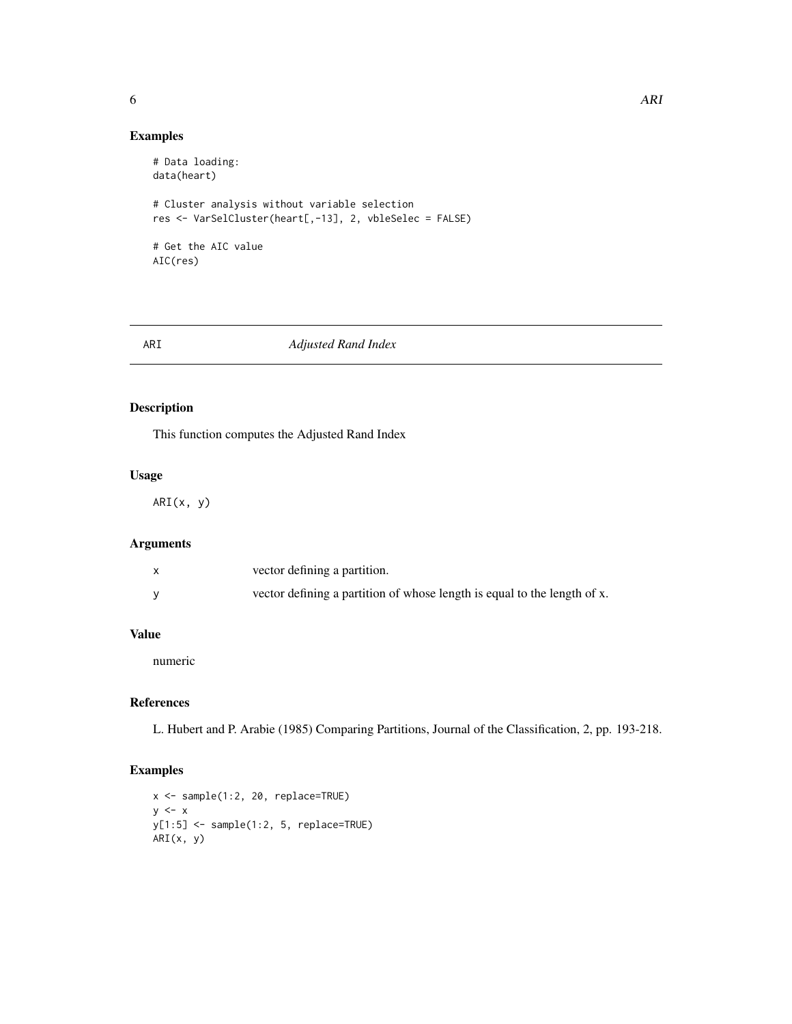#### <span id="page-5-0"></span>Examples

```
# Data loading:
data(heart)
# Cluster analysis without variable selection
res <- VarSelCluster(heart[,-13], 2, vbleSelec = FALSE)
# Get the AIC value
AIC(res)
```
#### ARI *Adjusted Rand Index*

#### Description

This function computes the Adjusted Rand Index

#### Usage

ARI(x, y)

#### Arguments

| vector defining a partition.                                             |
|--------------------------------------------------------------------------|
| vector defining a partition of whose length is equal to the length of x. |

#### Value

numeric

#### References

L. Hubert and P. Arabie (1985) Comparing Partitions, Journal of the Classification, 2, pp. 193-218.

```
x <- sample(1:2, 20, replace=TRUE)
y \leq -xy[1:5] <- sample(1:2, 5, replace=TRUE)
ARI(x, y)
```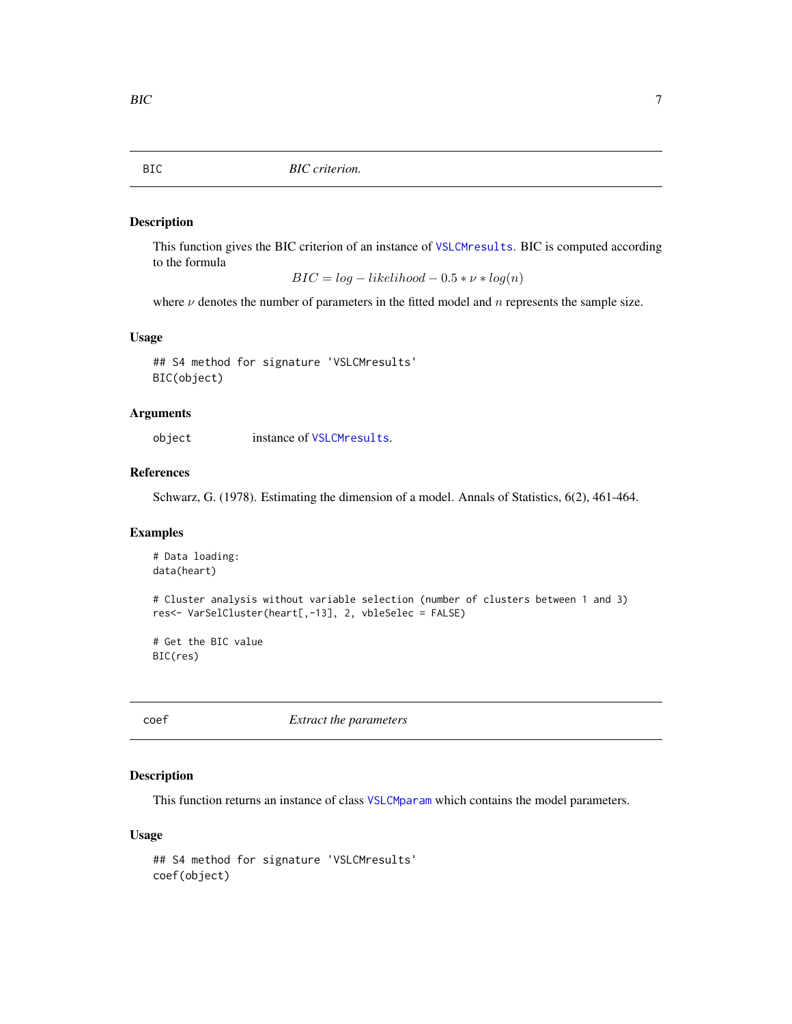<span id="page-6-0"></span>This function gives the BIC criterion of an instance of [VSLCMresults](#page-21-1). BIC is computed according to the formula

 $BIC = log - likelihood - 0.5 * \nu * log(n)$ 

where  $\nu$  denotes the number of parameters in the fitted model and n represents the sample size.

#### Usage

```
## S4 method for signature 'VSLCMresults'
BIC(object)
```
#### Arguments

object instance of [VSLCMresults](#page-21-1).

#### References

Schwarz, G. (1978). Estimating the dimension of a model. Annals of Statistics, 6(2), 461-464.

#### Examples

```
# Data loading:
data(heart)
# Cluster analysis without variable selection (number of clusters between 1 and 3)
res<- VarSelCluster(heart[,-13], 2, vbleSelec = FALSE)
# Get the BIC value
```
BIC(res)

<span id="page-6-1"></span>coef *Extract the parameters*

#### Description

This function returns an instance of class [VSLCMparam](#page-20-1) which contains the model parameters.

#### Usage

```
## S4 method for signature 'VSLCMresults'
coef(object)
```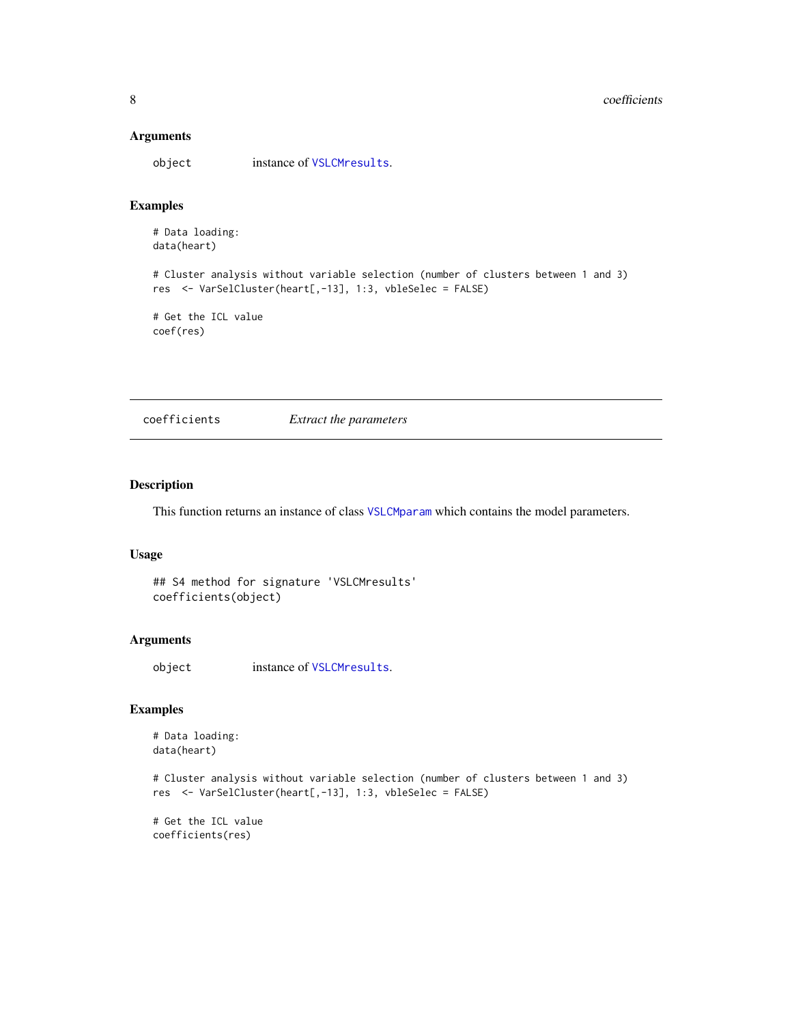#### <span id="page-7-0"></span>Arguments

object instance of [VSLCMresults](#page-21-1).

#### Examples

# Data loading: data(heart)

# Cluster analysis without variable selection (number of clusters between 1 and 3) res <- VarSelCluster(heart[,-13], 1:3, vbleSelec = FALSE)

# Get the ICL value coef(res)

coefficients *Extract the parameters*

#### Description

This function returns an instance of class [VSLCMparam](#page-20-1) which contains the model parameters.

### Usage

## S4 method for signature 'VSLCMresults' coefficients(object)

#### Arguments

object instance of [VSLCMresults](#page-21-1).

#### Examples

```
# Data loading:
data(heart)
```

```
# Cluster analysis without variable selection (number of clusters between 1 and 3)
res <- VarSelCluster(heart[,-13], 1:3, vbleSelec = FALSE)
```
# Get the ICL value coefficients(res)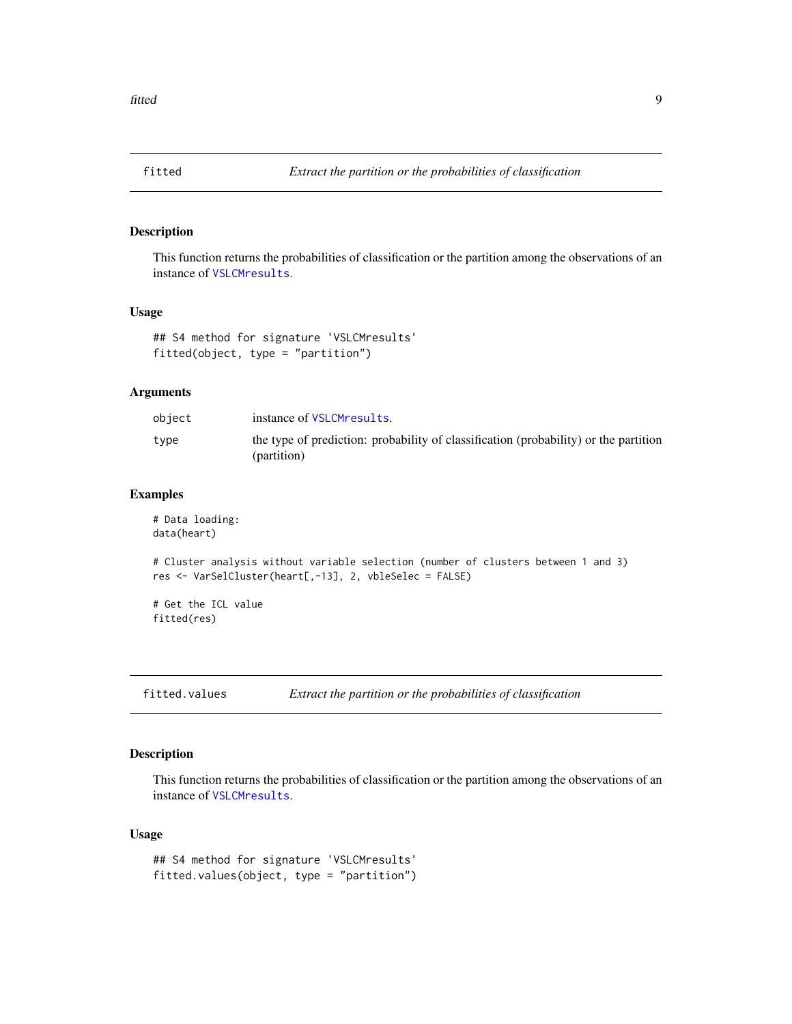<span id="page-8-1"></span><span id="page-8-0"></span>

This function returns the probabilities of classification or the partition among the observations of an instance of [VSLCMresults](#page-21-1).

#### Usage

```
## S4 method for signature 'VSLCMresults'
fitted(object, type = "partition")
```
#### Arguments

| object | instance of VSLCMresults.                                                                           |
|--------|-----------------------------------------------------------------------------------------------------|
| type   | the type of prediction: probability of classification (probability) or the partition<br>(partition) |

#### Examples

```
# Data loading:
data(heart)
# Cluster analysis without variable selection (number of clusters between 1 and 3)
res <- VarSelCluster(heart[,-13], 2, vbleSelec = FALSE)
# Get the ICL value
fitted(res)
```
fitted.values *Extract the partition or the probabilities of classification*

#### Description

This function returns the probabilities of classification or the partition among the observations of an instance of [VSLCMresults](#page-21-1).

#### Usage

```
## S4 method for signature 'VSLCMresults'
fitted.values(object, type = "partition")
```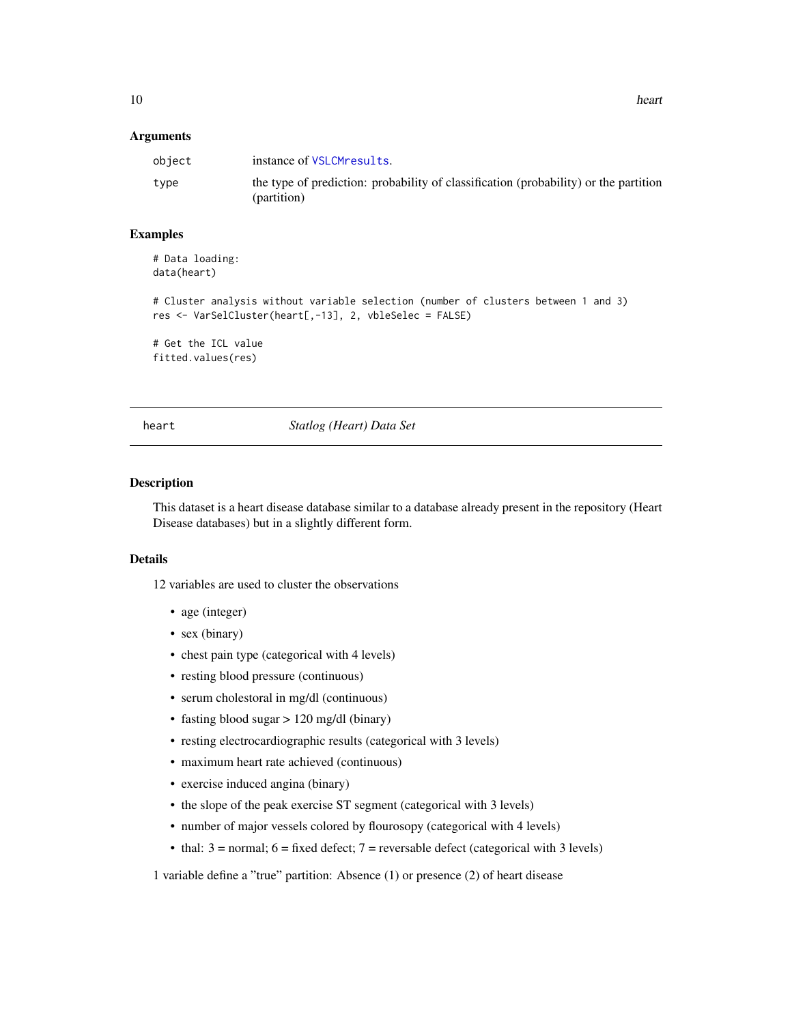#### <span id="page-9-0"></span>**Arguments**

| object | instance of VSLCMresults.                                                                           |
|--------|-----------------------------------------------------------------------------------------------------|
| type   | the type of prediction: probability of classification (probability) or the partition<br>(partition) |

#### Examples

# Data loading: data(heart)

```
# Cluster analysis without variable selection (number of clusters between 1 and 3)
res <- VarSelCluster(heart[,-13], 2, vbleSelec = FALSE)
```
# Get the ICL value fitted.values(res)

heart *Statlog (Heart) Data Set*

#### Description

This dataset is a heart disease database similar to a database already present in the repository (Heart Disease databases) but in a slightly different form.

#### Details

12 variables are used to cluster the observations

- age (integer)
- sex (binary)
- chest pain type (categorical with 4 levels)
- resting blood pressure (continuous)
- serum cholestoral in mg/dl (continuous)
- fasting blood sugar > 120 mg/dl (binary)
- resting electrocardiographic results (categorical with 3 levels)
- maximum heart rate achieved (continuous)
- exercise induced angina (binary)
- the slope of the peak exercise ST segment (categorical with 3 levels)
- number of major vessels colored by flourosopy (categorical with 4 levels)
- thal:  $3 = normal$ ;  $6 = fixed defect$ ;  $7 = reversible defect$  (categorical with 3 levels)

1 variable define a "true" partition: Absence (1) or presence (2) of heart disease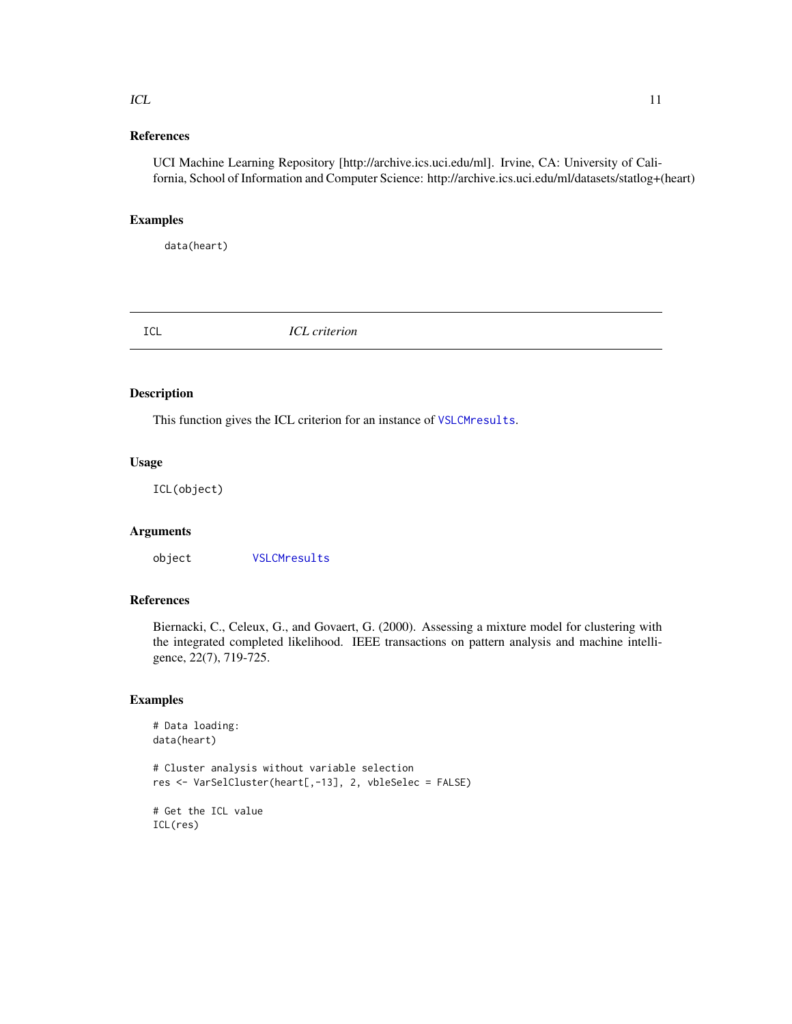#### <span id="page-10-0"></span>References

UCI Machine Learning Repository [http://archive.ics.uci.edu/ml]. Irvine, CA: University of California, School of Information and Computer Science: http://archive.ics.uci.edu/ml/datasets/statlog+(heart)

#### Examples

data(heart)

ICL *ICL criterion*

#### Description

This function gives the ICL criterion for an instance of [VSLCMresults](#page-21-1).

#### Usage

ICL(object)

#### Arguments

object [VSLCMresults](#page-21-1)

#### References

Biernacki, C., Celeux, G., and Govaert, G. (2000). Assessing a mixture model for clustering with the integrated completed likelihood. IEEE transactions on pattern analysis and machine intelligence, 22(7), 719-725.

```
# Data loading:
data(heart)
# Cluster analysis without variable selection
res <- VarSelCluster(heart[,-13], 2, vbleSelec = FALSE)
# Get the ICL value
ICL(res)
```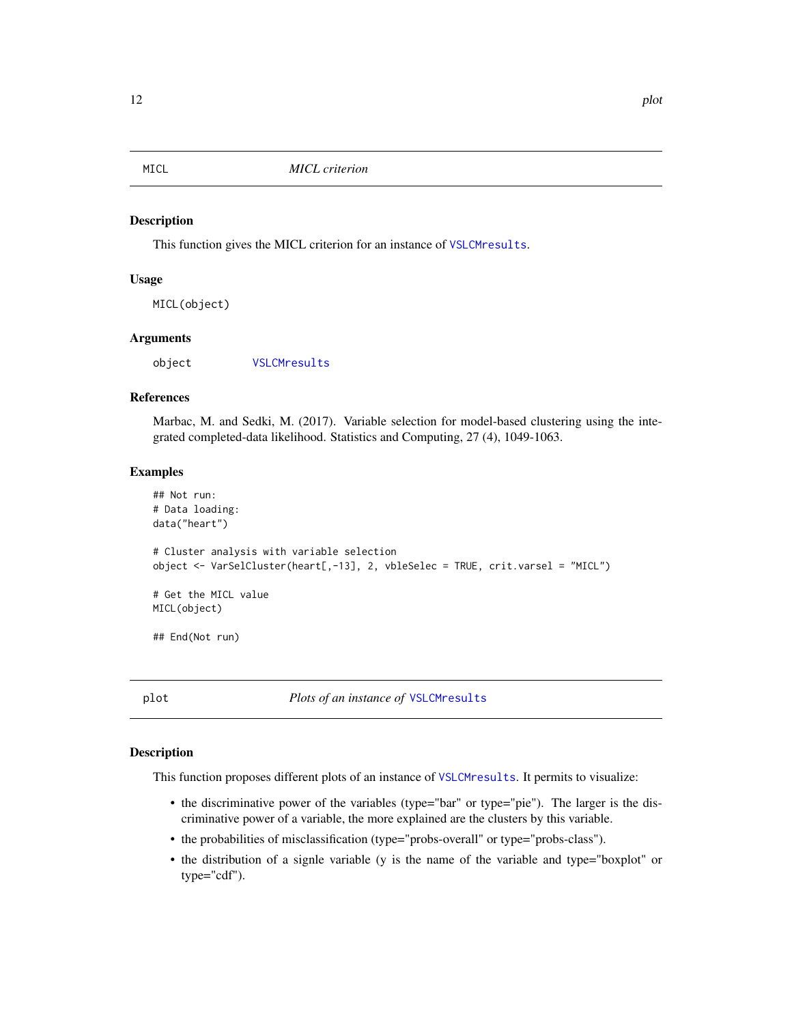<span id="page-11-0"></span>

This function gives the MICL criterion for an instance of [VSLCMresults](#page-21-1).

#### Usage

MICL(object)

#### Arguments

object [VSLCMresults](#page-21-1)

#### References

Marbac, M. and Sedki, M. (2017). Variable selection for model-based clustering using the integrated completed-data likelihood. Statistics and Computing, 27 (4), 1049-1063.

#### Examples

```
## Not run:
# Data loading:
data("heart")
# Cluster analysis with variable selection
object <- VarSelCluster(heart[,-13], 2, vbleSelec = TRUE, crit.varsel = "MICL")
# Get the MICL value
MICL(object)
## End(Not run)
```
<span id="page-11-1"></span>plot *Plots of an instance of* [VSLCMresults](#page-21-1)

#### Description

This function proposes different plots of an instance of [VSLCMresults](#page-21-1). It permits to visualize:

- the discriminative power of the variables (type="bar" or type="pie"). The larger is the discriminative power of a variable, the more explained are the clusters by this variable.
- the probabilities of misclassification (type="probs-overall" or type="probs-class").
- the distribution of a signle variable (y is the name of the variable and type="boxplot" or type="cdf").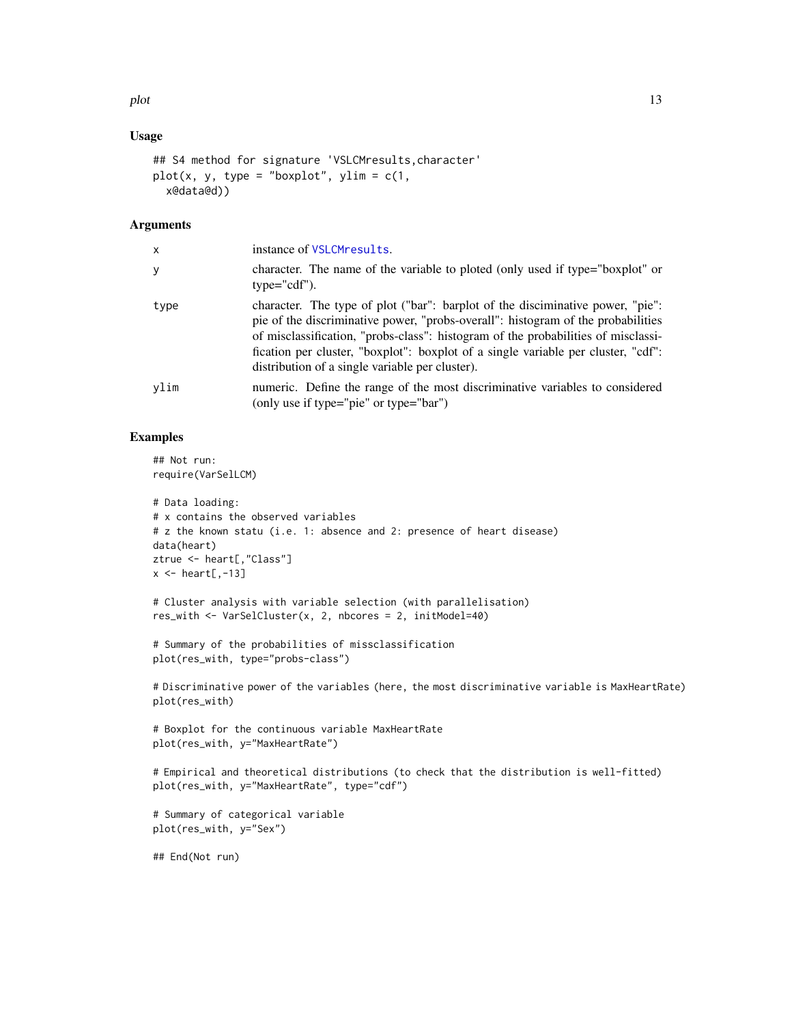#### Usage

```
## S4 method for signature 'VSLCMresults, character'
plot(x, y, type = "boxplot", ylim = c(1,x@data@d))
```
#### **Arguments**

| x    | instance of VSLCMresults.                                                                                                                                                                                                                                                                                                                                                                       |
|------|-------------------------------------------------------------------------------------------------------------------------------------------------------------------------------------------------------------------------------------------------------------------------------------------------------------------------------------------------------------------------------------------------|
| y    | character. The name of the variable to ploted (only used if type="boxplot" or<br>$type='cdf").$                                                                                                                                                                                                                                                                                                 |
| type | character. The type of plot ("bar": barplot of the disciminative power, "pie":<br>pie of the discriminative power, "probs-overall": histogram of the probabilities<br>of misclassification, "probs-class": histogram of the probabilities of misclassi-<br>fication per cluster, "boxplot": boxplot of a single variable per cluster, "cdf":<br>distribution of a single variable per cluster). |
| vlim | numeric. Define the range of the most discriminative variables to considered<br>(only use if type="pie" or type="bar")                                                                                                                                                                                                                                                                          |

#### Examples

## Not run: require(VarSelLCM)

```
# Data loading:
# x contains the observed variables
# z the known statu (i.e. 1: absence and 2: presence of heart disease)
data(heart)
ztrue <- heart[,"Class"]
x \leftarrow \text{heart}[, -13]
```

```
# Cluster analysis with variable selection (with parallelisation)
res_with <- VarSelCluster(x, 2, nbcores = 2, initModel=40)
```

```
# Summary of the probabilities of missclassification
plot(res_with, type="probs-class")
```
# Discriminative power of the variables (here, the most discriminative variable is MaxHeartRate) plot(res\_with)

```
# Boxplot for the continuous variable MaxHeartRate
plot(res_with, y="MaxHeartRate")
```

```
# Empirical and theoretical distributions (to check that the distribution is well-fitted)
plot(res_with, y="MaxHeartRate", type="cdf")
```

```
# Summary of categorical variable
plot(res_with, y="Sex")
```
## End(Not run)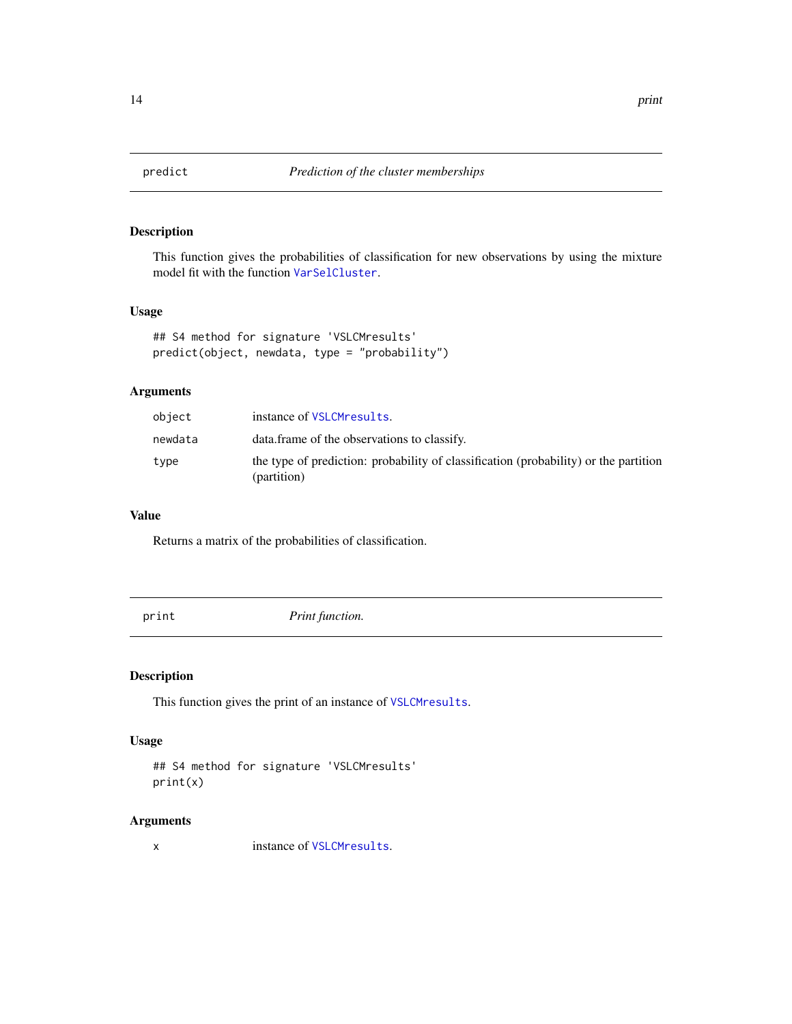<span id="page-13-2"></span><span id="page-13-0"></span>

This function gives the probabilities of classification for new observations by using the mixture model fit with the function [VarSelCluster](#page-14-1).

#### Usage

```
## S4 method for signature 'VSLCMresults'
predict(object, newdata, type = "probability")
```
### Arguments

| object  | instance of VSLCMresults.                                                                           |
|---------|-----------------------------------------------------------------------------------------------------|
| newdata | data frame of the observations to classify.                                                         |
| type    | the type of prediction: probability of classification (probability) or the partition<br>(partition) |

#### Value

Returns a matrix of the probabilities of classification.

<span id="page-13-1"></span>print *Print function.*

#### Description

This function gives the print of an instance of [VSLCMresults](#page-21-1).

#### Usage

```
## S4 method for signature 'VSLCMresults'
print(x)
```
#### Arguments

x instance of [VSLCMresults](#page-21-1).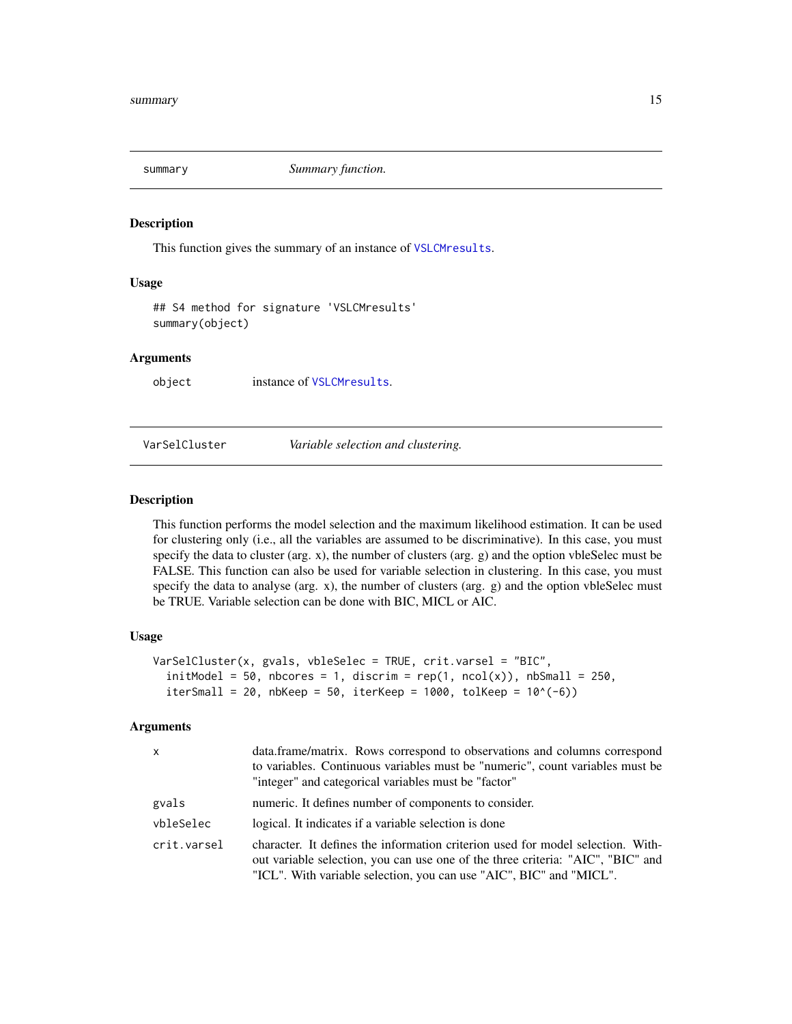<span id="page-14-2"></span><span id="page-14-0"></span>

This function gives the summary of an instance of [VSLCMresults](#page-21-1).

#### Usage

```
## S4 method for signature 'VSLCMresults'
summary(object)
```
#### Arguments

object instance of [VSLCMresults](#page-21-1).

#### <span id="page-14-1"></span>VarSelCluster *Variable selection and clustering.*

#### Description

This function performs the model selection and the maximum likelihood estimation. It can be used for clustering only (i.e., all the variables are assumed to be discriminative). In this case, you must specify the data to cluster (arg.  $x$ ), the number of clusters (arg.  $g$ ) and the option vbleSelec must be FALSE. This function can also be used for variable selection in clustering. In this case, you must specify the data to analyse (arg. x), the number of clusters (arg. g) and the option vbleSelec must be TRUE. Variable selection can be done with BIC, MICL or AIC.

#### Usage

```
VarSelCluster(x, gvals, vbleSelec = TRUE, crit.varsel = "BIC",
  initModel = 50, nbcores = 1, discrim = rep(1, ncol(x)), nbSmall = 250,
  itersmall = 20, nbKeep = 50, iterKeep = 1000, tolKeep = 10^(-6))
```
#### Arguments

| $\times$    | data.frame/matrix. Rows correspond to observations and columns correspond<br>to variables. Continuous variables must be "numeric", count variables must be<br>"integer" and categorical variables must be "factor"                        |
|-------------|-------------------------------------------------------------------------------------------------------------------------------------------------------------------------------------------------------------------------------------------|
| gvals       | numeric. It defines number of components to consider.                                                                                                                                                                                     |
| vbleSelec   | logical. It indicates if a variable selection is done                                                                                                                                                                                     |
| crit.varsel | character. It defines the information criterion used for model selection. With-<br>out variable selection, you can use one of the three criteria: "AIC", "BIC" and<br>"ICL". With variable selection, you can use "AIC", BIC" and "MICL". |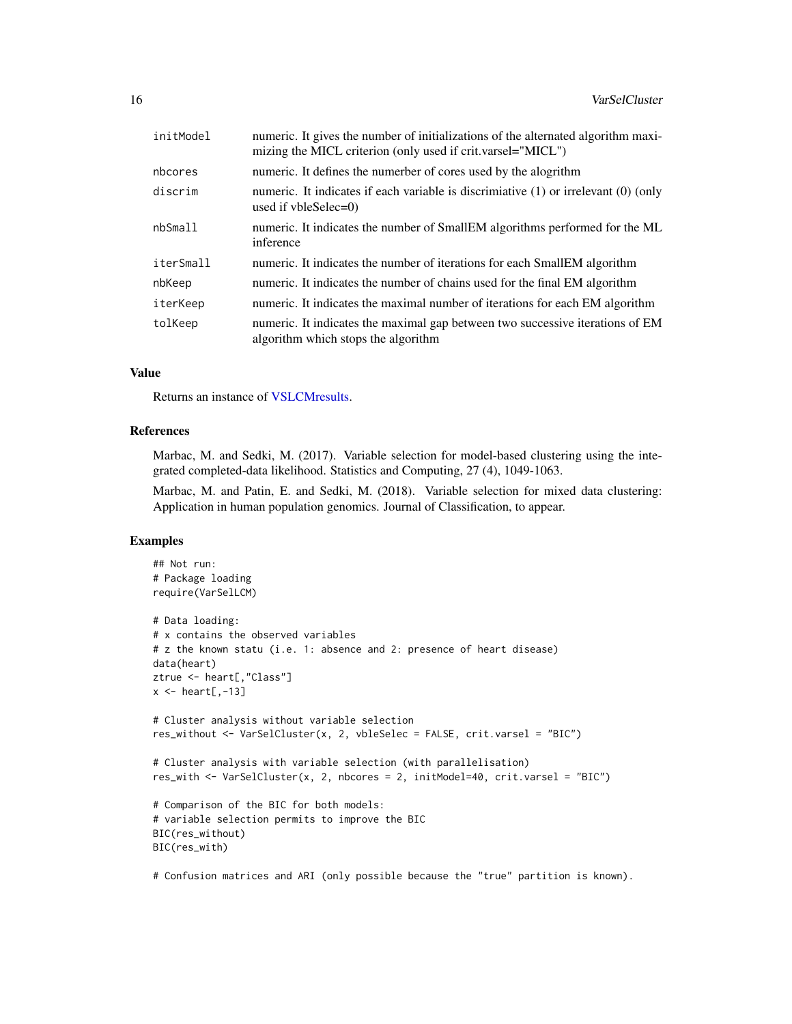<span id="page-15-0"></span>

| initModel | numeric. It gives the number of initializations of the alternated algorithm maxi-<br>mizing the MICL criterion (only used if crit.varsel="MICL") |
|-----------|--------------------------------------------------------------------------------------------------------------------------------------------------|
| nbcores   | numeric. It defines the numerber of cores used by the alogrithm                                                                                  |
| discrim   | numeric. It indicates if each variable is discrimiative $(1)$ or irrelevant $(0)$ (only<br>used if $vbleSelect=0$                                |
| nbSmall   | numeric. It indicates the number of SmallEM algorithms performed for the ML<br>inference                                                         |
| iterSmall | numeric. It indicates the number of iterations for each SmallEM algorithm                                                                        |
| nbKeep    | numeric. It indicates the number of chains used for the final EM algorithm                                                                       |
| iterKeep  | numeric. It indicates the maximal number of iterations for each EM algorithm                                                                     |
| tolKeep   | numeric. It indicates the maximal gap between two successive iterations of EM<br>algorithm which stops the algorithm                             |

#### Value

Returns an instance of [VSLCMresults.](#page-21-1)

#### References

Marbac, M. and Sedki, M. (2017). Variable selection for model-based clustering using the integrated completed-data likelihood. Statistics and Computing, 27 (4), 1049-1063.

Marbac, M. and Patin, E. and Sedki, M. (2018). Variable selection for mixed data clustering: Application in human population genomics. Journal of Classification, to appear.

#### Examples

```
## Not run:
# Package loading
require(VarSelLCM)
# Data loading:
# x contains the observed variables
# z the known statu (i.e. 1: absence and 2: presence of heart disease)
data(heart)
ztrue <- heart[,"Class"]
x \leftarrow \text{heart}[, -13]# Cluster analysis without variable selection
res_without <- VarSelCluster(x, 2, vbleSelec = FALSE, crit.varsel = "BIC")
# Cluster analysis with variable selection (with parallelisation)
res_with <- VarSelCluster(x, 2, nbcores = 2, initModel=40, crit.varsel = "BIC")
# Comparison of the BIC for both models:
# variable selection permits to improve the BIC
BIC(res_without)
BIC(res_with)
```
# Confusion matrices and ARI (only possible because the "true" partition is known).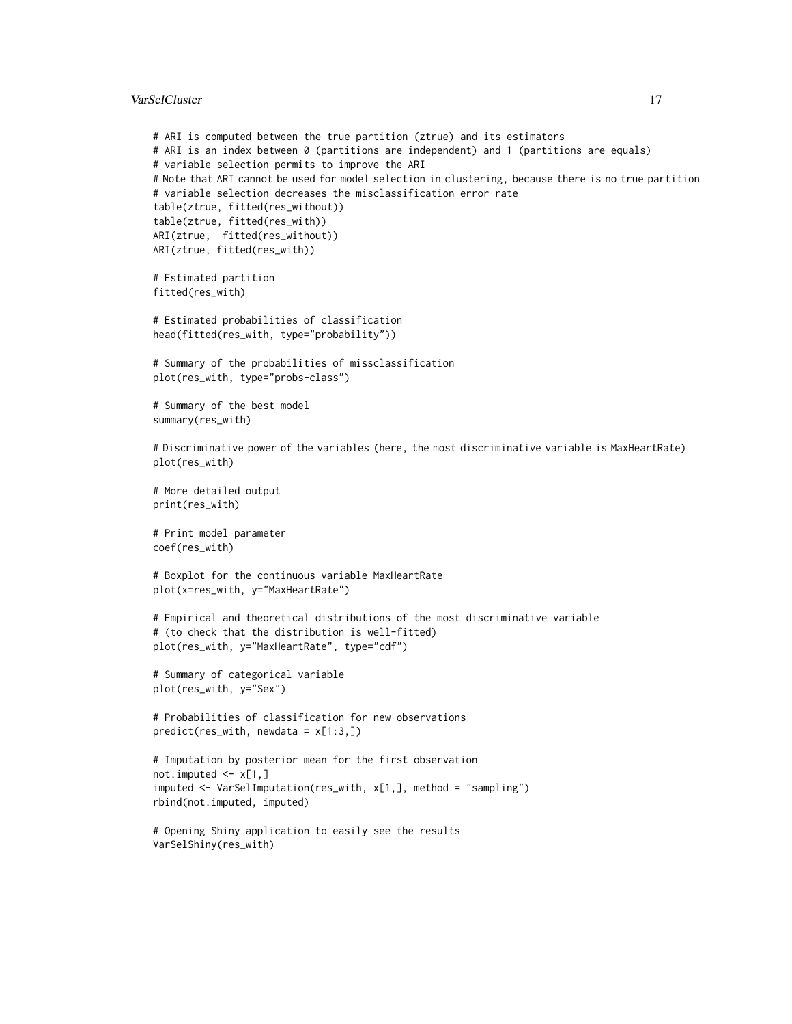#### VarSelCluster 17

```
# ARI is computed between the true partition (ztrue) and its estimators
# ARI is an index between 0 (partitions are independent) and 1 (partitions are equals)
# variable selection permits to improve the ARI
# Note that ARI cannot be used for model selection in clustering, because there is no true partition
# variable selection decreases the misclassification error rate
table(ztrue, fitted(res_without))
table(ztrue, fitted(res_with))
ARI(ztrue, fitted(res_without))
ARI(ztrue, fitted(res_with))
# Estimated partition
fitted(res_with)
# Estimated probabilities of classification
head(fitted(res_with, type="probability"))
# Summary of the probabilities of missclassification
plot(res_with, type="probs-class")
# Summary of the best model
summary(res_with)
# Discriminative power of the variables (here, the most discriminative variable is MaxHeartRate)
plot(res_with)
# More detailed output
print(res_with)
# Print model parameter
coef(res_with)
# Boxplot for the continuous variable MaxHeartRate
plot(x=res_with, y="MaxHeartRate")
# Empirical and theoretical distributions of the most discriminative variable
# (to check that the distribution is well-fitted)
plot(res_with, y="MaxHeartRate", type="cdf")
# Summary of categorical variable
plot(res_with, y="Sex")
# Probabilities of classification for new observations
predict(res_with, new data = x[1:3,])# Imputation by posterior mean for the first observation
not.imputed \leq -x[1,]imputed <- VarSelImputation(res_with, x[1,], method = "sampling")
rbind(not.imputed, imputed)
# Opening Shiny application to easily see the results
VarSelShiny(res_with)
```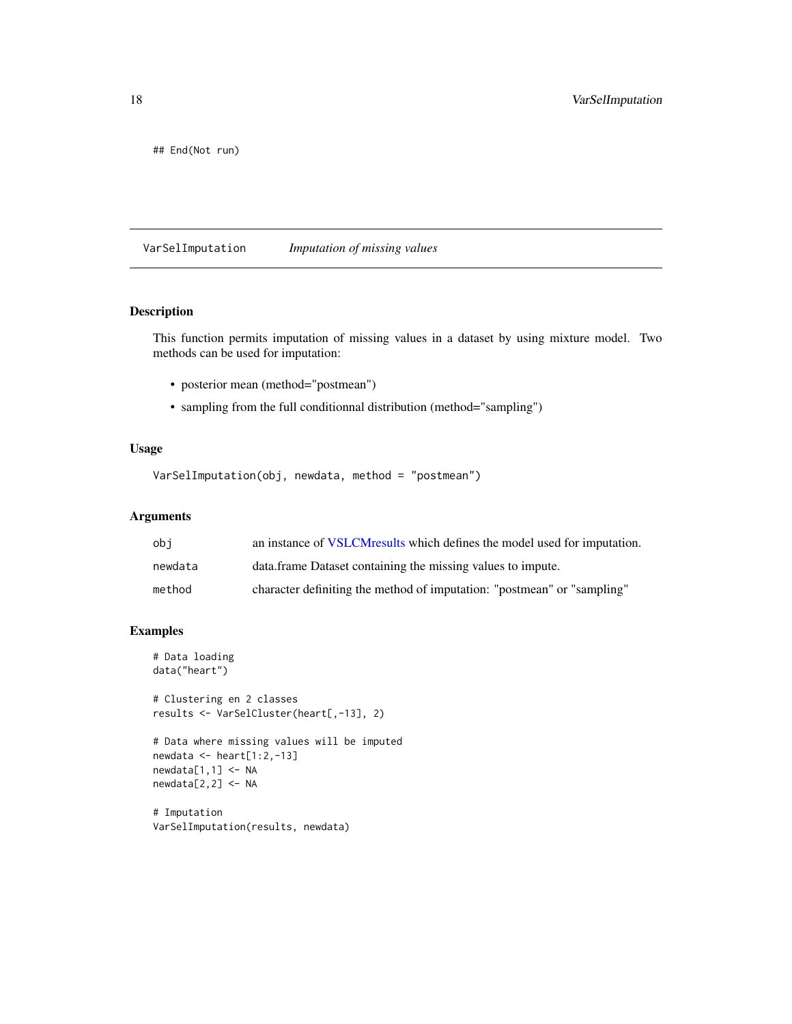<span id="page-17-0"></span>## End(Not run)

<span id="page-17-1"></span>VarSelImputation *Imputation of missing values*

#### Description

This function permits imputation of missing values in a dataset by using mixture model. Two methods can be used for imputation:

- posterior mean (method="postmean")
- sampling from the full conditionnal distribution (method="sampling")

### Usage

```
VarSelImputation(obj, newdata, method = "postmean")
```
#### Arguments

| obi     | an instance of VSLCMresults which defines the model used for imputation. |
|---------|--------------------------------------------------------------------------|
| newdata | data frame Dataset containing the missing values to impute.              |
| method  | character definiting the method of imputation: "postmean" or "sampling"  |

```
# Data loading
data("heart")
```

```
# Clustering en 2 classes
results <- VarSelCluster(heart[,-13], 2)
```

```
# Data where missing values will be imputed
newdata <- heart[1:2,-13]
newdata[1,1] <- NA
newdata[2,2] <- NA
```

```
# Imputation
VarSelImputation(results, newdata)
```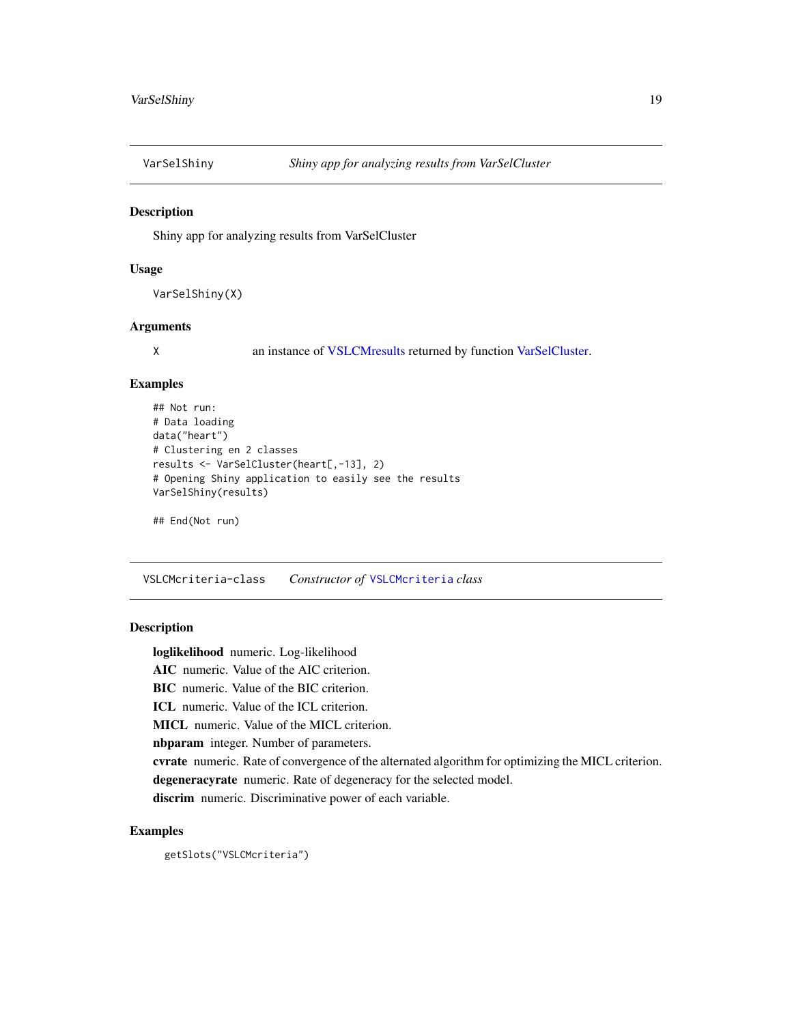<span id="page-18-1"></span><span id="page-18-0"></span>

Shiny app for analyzing results from VarSelCluster

#### Usage

VarSelShiny(X)

#### Arguments

X an instance of [VSLCMresults](#page-21-1) returned by function [VarSelCluster.](#page-14-1)

#### Examples

```
## Not run:
# Data loading
data("heart")
# Clustering en 2 classes
results <- VarSelCluster(heart[,-13], 2)
# Opening Shiny application to easily see the results
VarSelShiny(results)
```

```
## End(Not run)
```
<span id="page-18-2"></span>VSLCMcriteria-class *Constructor of* [VSLCMcriteria](#page-18-2) *class*

#### Description

loglikelihood numeric. Log-likelihood AIC numeric. Value of the AIC criterion. BIC numeric. Value of the BIC criterion. ICL numeric. Value of the ICL criterion. MICL numeric. Value of the MICL criterion. nbparam integer. Number of parameters. cvrate numeric. Rate of convergence of the alternated algorithm for optimizing the MICL criterion. degeneracyrate numeric. Rate of degeneracy for the selected model. discrim numeric. Discriminative power of each variable.

#### Examples

getSlots("VSLCMcriteria")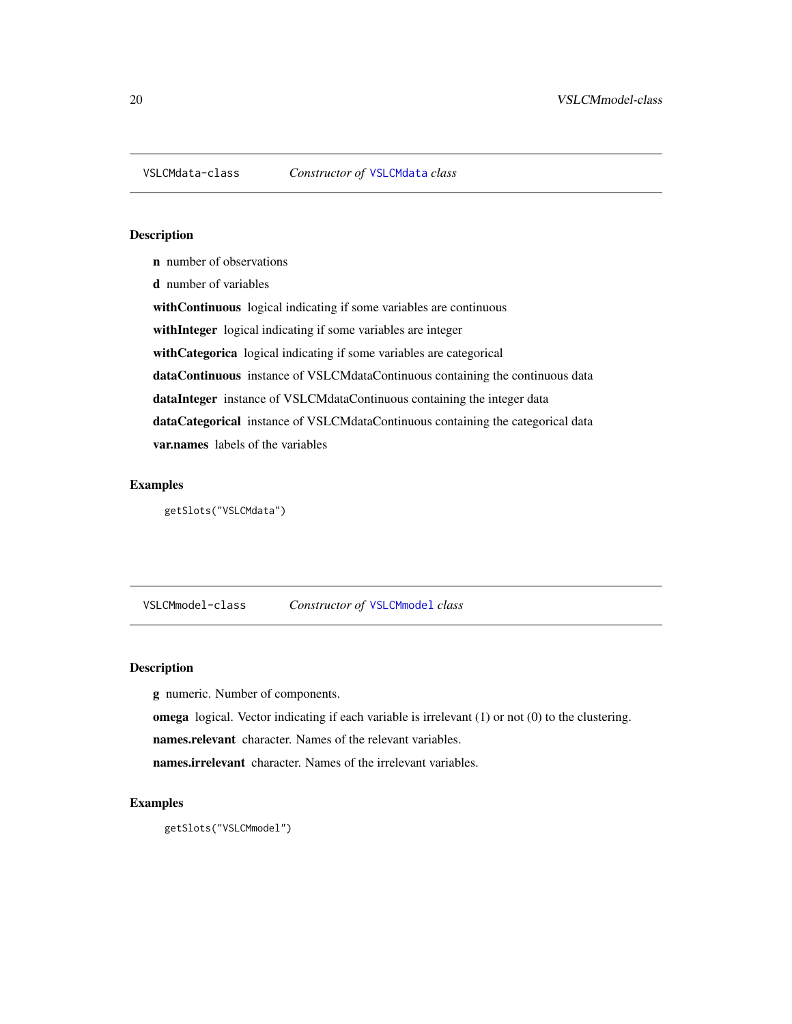<span id="page-19-1"></span><span id="page-19-0"></span>

- n number of observations
- d number of variables

with Continuous logical indicating if some variables are continuous

withInteger logical indicating if some variables are integer

withCategorica logical indicating if some variables are categorical

dataContinuous instance of VSLCMdataContinuous containing the continuous data dataInteger instance of VSLCMdataContinuous containing the integer data

dataCategorical instance of VSLCMdataContinuous containing the categorical data

var.names labels of the variables

#### Examples

getSlots("VSLCMdata")

<span id="page-19-2"></span>VSLCMmodel-class *Constructor of* [VSLCMmodel](#page-19-2) *class*

#### Description

g numeric. Number of components.

omega logical. Vector indicating if each variable is irrelevant (1) or not (0) to the clustering.

names.relevant character. Names of the relevant variables.

names.irrelevant character. Names of the irrelevant variables.

```
getSlots("VSLCMmodel")
```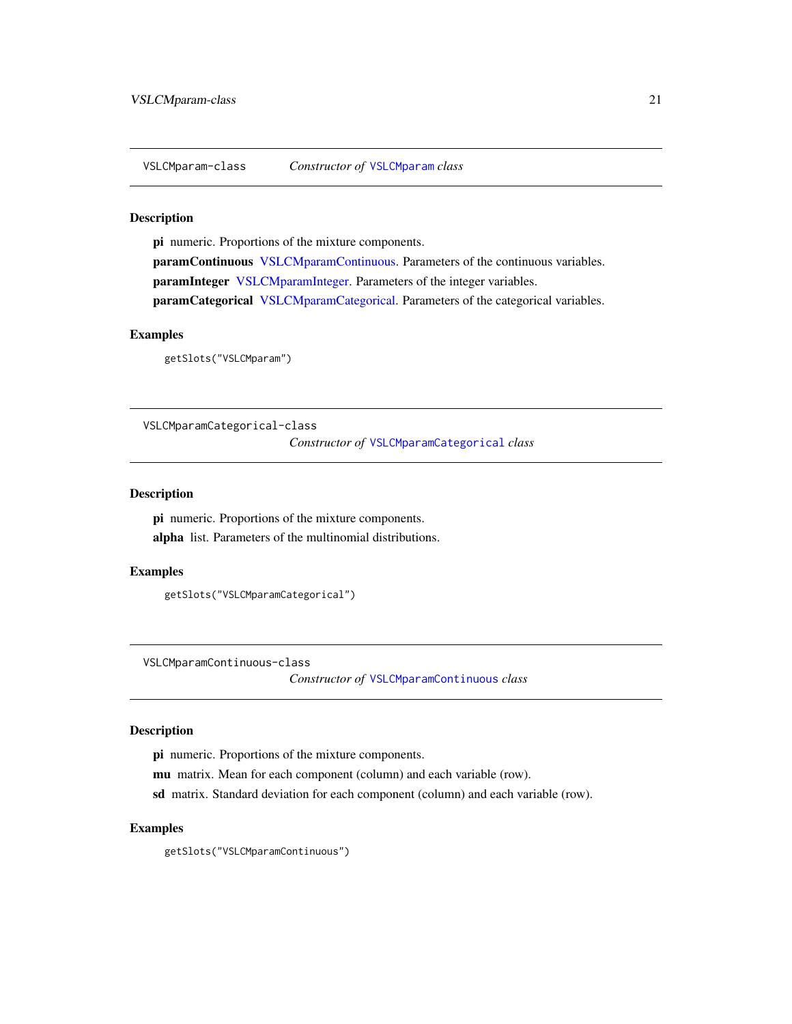<span id="page-20-1"></span><span id="page-20-0"></span>VSLCMparam-class *Constructor of* [VSLCMparam](#page-20-1) *class*

#### Description

pi numeric. Proportions of the mixture components. paramContinuous [VSLCMparamContinuous.](#page-20-2) Parameters of the continuous variables. paramInteger [VSLCMparamInteger.](#page-21-2) Parameters of the integer variables. paramCategorical [VSLCMparamCategorical.](#page-20-3) Parameters of the categorical variables.

### Examples

getSlots("VSLCMparam")

<span id="page-20-3"></span>VSLCMparamCategorical-class *Constructor of* [VSLCMparamCategorical](#page-20-3) *class*

#### Description

pi numeric. Proportions of the mixture components. alpha list. Parameters of the multinomial distributions.

#### Examples

getSlots("VSLCMparamCategorical")

<span id="page-20-2"></span>VSLCMparamContinuous-class

*Constructor of* [VSLCMparamContinuous](#page-20-2) *class*

#### Description

pi numeric. Proportions of the mixture components.

mu matrix. Mean for each component (column) and each variable (row).

sd matrix. Standard deviation for each component (column) and each variable (row).

#### Examples

getSlots("VSLCMparamContinuous")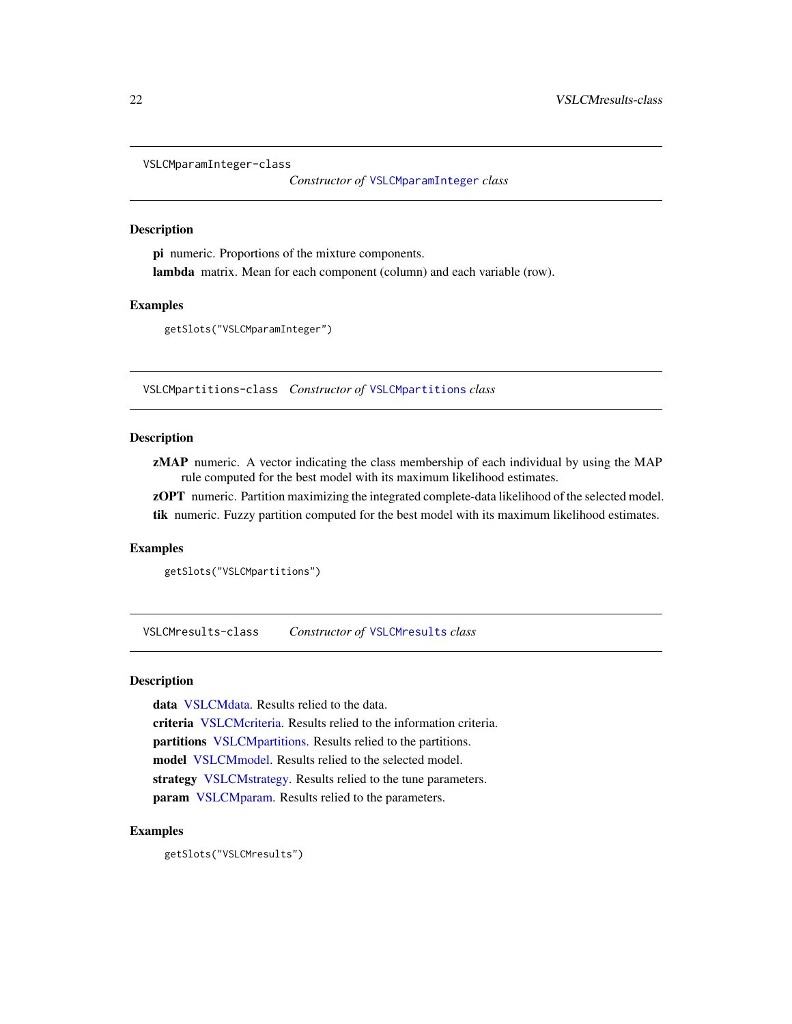```
VSLCMparamInteger-class
```
*Constructor of* [VSLCMparamInteger](#page-21-2) *class*

#### **Description**

pi numeric. Proportions of the mixture components. lambda matrix. Mean for each component (column) and each variable (row).

#### Examples

getSlots("VSLCMparamInteger")

<span id="page-21-3"></span>VSLCMpartitions-class *Constructor of* [VSLCMpartitions](#page-21-3) *class*

#### Description

zMAP numeric. A vector indicating the class membership of each individual by using the MAP rule computed for the best model with its maximum likelihood estimates.

zOPT numeric. Partition maximizing the integrated complete-data likelihood of the selected model. tik numeric. Fuzzy partition computed for the best model with its maximum likelihood estimates.

#### Examples

```
getSlots("VSLCMpartitions")
```
<span id="page-21-1"></span>VSLCMresults-class *Constructor of* [VSLCMresults](#page-21-1) *class*

#### Description

data [VSLCMdata.](#page-19-1) Results relied to the data. criteria [VSLCMcriteria.](#page-18-2) Results relied to the information criteria. partitions [VSLCMpartitions.](#page-21-3) Results relied to the partitions. model [VSLCMmodel.](#page-19-2) Results relied to the selected model. strategy [VSLCMstrategy.](#page-22-1) Results relied to the tune parameters. param [VSLCMparam.](#page-20-1) Results relied to the parameters.

#### Examples

getSlots("VSLCMresults")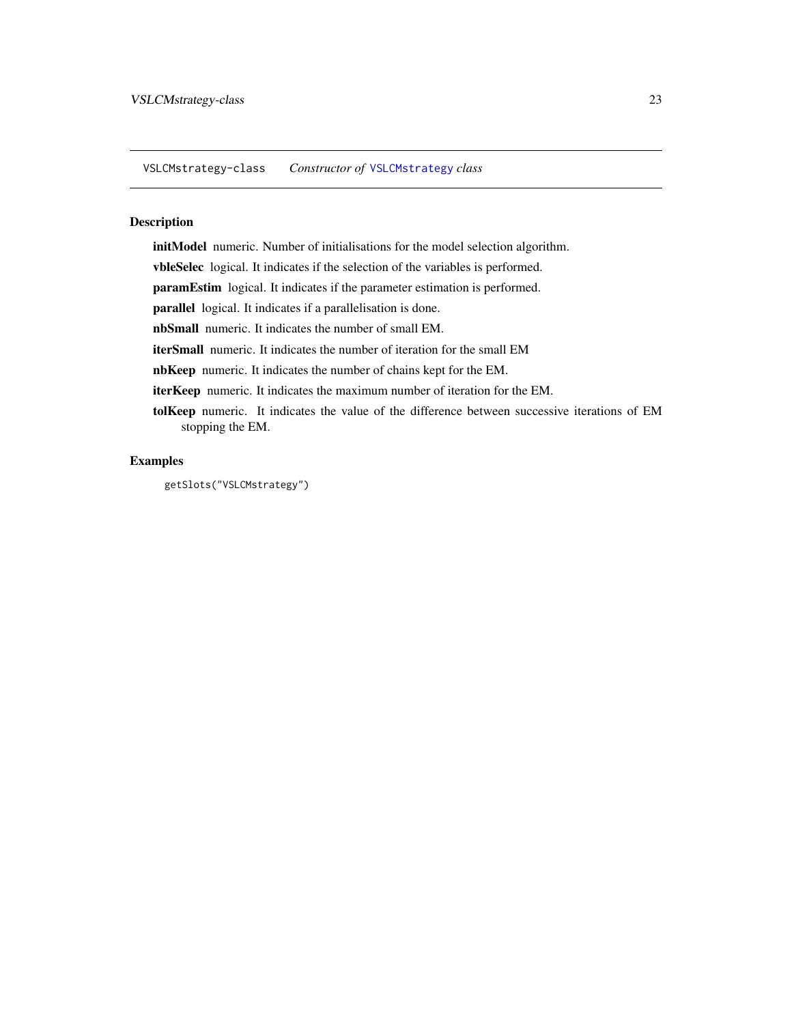<span id="page-22-1"></span><span id="page-22-0"></span>VSLCMstrategy-class *Constructor of* [VSLCMstrategy](#page-22-1) *class*

#### Description

initModel numeric. Number of initialisations for the model selection algorithm.

vbleSelec logical. It indicates if the selection of the variables is performed.

paramEstim logical. It indicates if the parameter estimation is performed.

parallel logical. It indicates if a parallelisation is done.

nbSmall numeric. It indicates the number of small EM.

iterSmall numeric. It indicates the number of iteration for the small EM

nbKeep numeric. It indicates the number of chains kept for the EM.

iterKeep numeric. It indicates the maximum number of iteration for the EM.

tolKeep numeric. It indicates the value of the difference between successive iterations of EM stopping the EM.

#### Examples

getSlots("VSLCMstrategy")